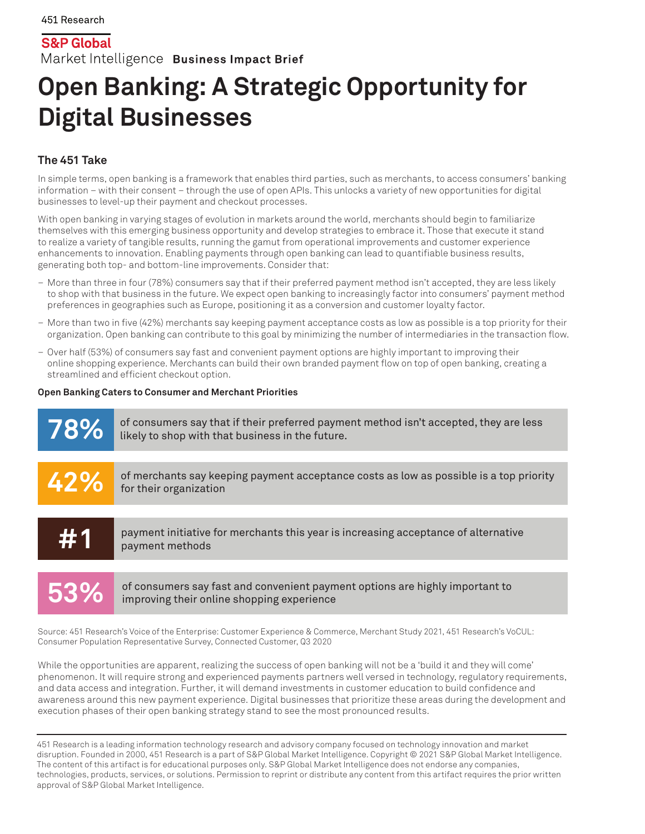**S&P Global** Market Intelligence Business Impact Brief

# **Open Banking: A Strategic Opportunity for Digital Businesses**

## **The 451 Take**

In simple terms, open banking is a framework that enables third parties, such as merchants, to access consumers' banking information – with their consent – through the use of open APIs. This unlocks a variety of new opportunities for digital businesses to level-up their payment and checkout processes.

With open banking in varying stages of evolution in markets around the world, merchants should begin to familiarize themselves with this emerging business opportunity and develop strategies to embrace it. Those that execute it stand to realize a variety of tangible results, running the gamut from operational improvements and customer experience enhancements to innovation. Enabling payments through open banking can lead to quantifiable business results, generating both top- and bottom-line improvements. Consider that:

- More than three in four (78%) consumers say that if their preferred payment method isn't accepted, they are less likely to shop with that business in the future. We expect open banking to increasingly factor into consumers' payment method preferences in geographies such as Europe, positioning it as a conversion and customer loyalty factor.
- More than two in five (42%) merchants say keeping payment acceptance costs as low as possible is a top priority for their organization. Open banking can contribute to this goal by minimizing the number of intermediaries in the transaction flow.
- Over half (53%) of consumers say fast and convenient payment options are highly important to improving their online shopping experience. Merchants can build their own branded payment flow on top of open banking, creating a streamlined and efficient checkout option.

### **Open Banking Caters to Consumer and Merchant Priorities**



**53%**

of consumers say fast and convenient payment options are highly important to improving their online shopping experience

Source: 451 Research's Voice of the Enterprise: Customer Experience & Commerce, Merchant Study 2021, 451 Research's VoCUL: Consumer Population Representative Survey, Connected Customer, Q3 2020

While the opportunities are apparent, realizing the success of open banking will not be a 'build it and they will come' phenomenon. It will require strong and experienced payments partners well versed in technology, regulatory requirements, and data access and integration. Further, it will demand investments in customer education to build confidence and awareness around this new payment experience. Digital businesses that prioritize these areas during the development and execution phases of their open banking strategy stand to see the most pronounced results.

451 Research is a leading information technology research and advisory company focused on technology innovation and market disruption. Founded in 2000, 451 Research is a part of S&P Global Market Intelligence. Copyright © 2021 S&P Global Market Intelligence. The content of this artifact is for educational purposes only. S&P Global Market Intelligence does not endorse any companies, technologies, products, services, or solutions. Permission to reprint or distribute any content from this artifact requires the prior written approval of S&P Global Market Intelligence.